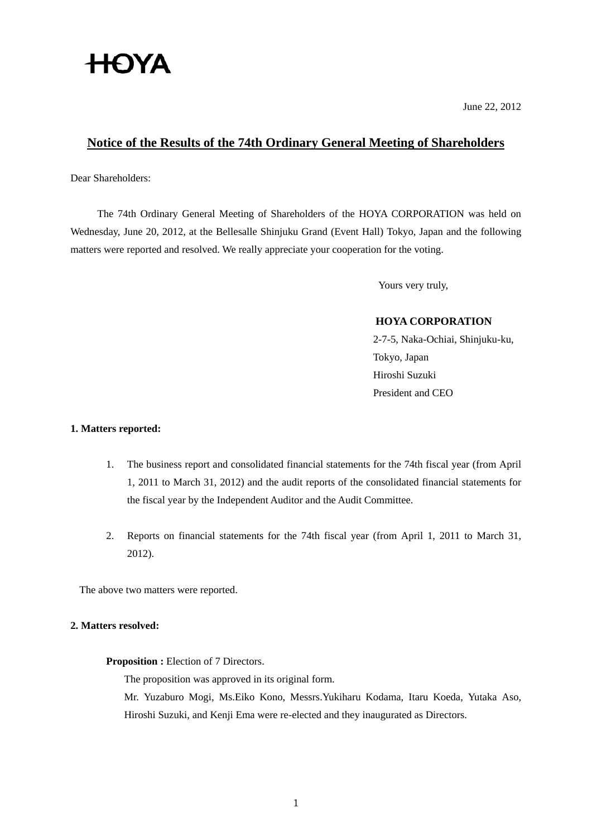# **HOYA**

June 22, 2012

# **Notice of the Results of the 74th Ordinary General Meeting of Shareholders**

Dear Shareholders:

The 74th Ordinary General Meeting of Shareholders of the HOYA CORPORATION was held on Wednesday, June 20, 2012, at the Bellesalle Shinjuku Grand (Event Hall) Tokyo, Japan and the following matters were reported and resolved. We really appreciate your cooperation for the voting.

Yours very truly,

## **HOYA CORPORATION**

2-7-5, Naka-Ochiai, Shinjuku-ku, Tokyo, Japan Hiroshi Suzuki President and CEO

## **1. Matters reported:**

- 1. The business report and consolidated financial statements for the 74th fiscal year (from April 1, 2011 to March 31, 2012) and the audit reports of the consolidated financial statements for the fiscal year by the Independent Auditor and the Audit Committee.
- 2. Reports on financial statements for the 74th fiscal year (from April 1, 2011 to March 31, 2012).

The above two matters were reported.

#### **2. Matters resolved:**

#### **Proposition :** Election of 7 Directors.

The proposition was approved in its original form.

 Mr. Yuzaburo Mogi, Ms.Eiko Kono, Messrs.Yukiharu Kodama, Itaru Koeda, Yutaka Aso, Hiroshi Suzuki, and Kenji Ema were re-elected and they inaugurated as Directors.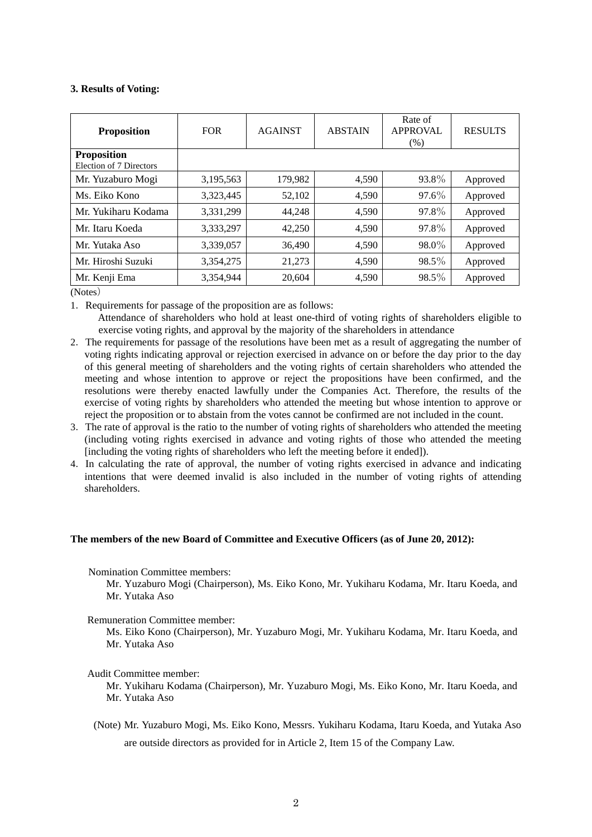#### **3. Results of Voting:**

| <b>Proposition</b>                            | <b>FOR</b> | <b>AGAINST</b> | <b>ABSTAIN</b> | Rate of<br><b>APPROVAL</b><br>$(\%)$ | <b>RESULTS</b> |
|-----------------------------------------------|------------|----------------|----------------|--------------------------------------|----------------|
| <b>Proposition</b><br>Election of 7 Directors |            |                |                |                                      |                |
| Mr. Yuzaburo Mogi                             | 3,195,563  | 179,982        | 4,590          | 93.8%                                | Approved       |
| Ms. Eiko Kono                                 | 3,323,445  | 52,102         | 4,590          | 97.6%                                | Approved       |
| Mr. Yukiharu Kodama                           | 3,331,299  | 44,248         | 4,590          | 97.8%                                | Approved       |
| Mr. Itaru Koeda                               | 3,333,297  | 42,250         | 4,590          | 97.8%                                | Approved       |
| Mr. Yutaka Aso                                | 3,339,057  | 36,490         | 4,590          | 98.0%                                | Approved       |
| Mr. Hiroshi Suzuki                            | 3,354,275  | 21,273         | 4,590          | 98.5%                                | Approved       |
| Mr. Kenji Ema                                 | 3,354,944  | 20,604         | 4,590          | 98.5%                                | Approved       |

(Notes)

1. Requirements for passage of the proposition are as follows:

Attendance of shareholders who hold at least one-third of voting rights of shareholders eligible to exercise voting rights, and approval by the majority of the shareholders in attendance

- 2.The requirements for passage of the resolutions have been met as a result of aggregating the number of voting rights indicating approval or rejection exercised in advance on or before the day prior to the day of this general meeting of shareholders and the voting rights of certain shareholders who attended the meeting and whose intention to approve or reject the propositions have been confirmed, and the resolutions were thereby enacted lawfully under the Companies Act. Therefore, the results of the exercise of voting rights by shareholders who attended the meeting but whose intention to approve or reject the proposition or to abstain from the votes cannot be confirmed are not included in the count.
- 3.The rate of approval is the ratio to the number of voting rights of shareholders who attended the meeting (including voting rights exercised in advance and voting rights of those who attended the meeting [including the voting rights of shareholders who left the meeting before it ended]).
- 4.In calculating the rate of approval, the number of voting rights exercised in advance and indicating intentions that were deemed invalid is also included in the number of voting rights of attending shareholders.

#### **The members of the new Board of Committee and Executive Officers (as of June 20, 2012):**

Nomination Committee members:

Mr. Yuzaburo Mogi (Chairperson), Ms. Eiko Kono, Mr. Yukiharu Kodama, Mr. Itaru Koeda, and Mr. Yutaka Aso

Remuneration Committee member:

Ms. Eiko Kono (Chairperson), Mr. Yuzaburo Mogi, Mr. Yukiharu Kodama, Mr. Itaru Koeda, and Mr. Yutaka Aso

#### Audit Committee member:

Mr. Yukiharu Kodama (Chairperson), Mr. Yuzaburo Mogi, Ms. Eiko Kono, Mr. Itaru Koeda, and Mr. Yutaka Aso

 (Note) Mr. Yuzaburo Mogi, Ms. Eiko Kono, Messrs. Yukiharu Kodama, Itaru Koeda, and Yutaka Aso are outside directors as provided for in Article 2, Item 15 of the Company Law.